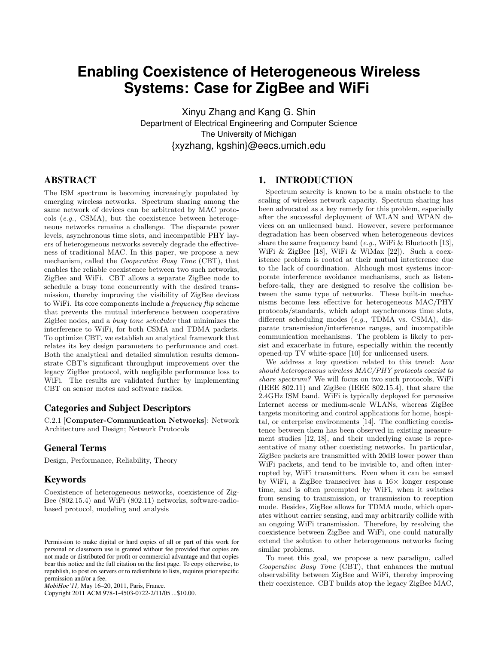# **Enabling Coexistence of Heterogeneous Wireless Systems: Case for ZigBee and WiFi**

Xinyu Zhang and Kang G. Shin Department of Electrical Engineering and Computer Science The University of Michigan {xyzhang, kgshin}@eecs.umich.edu

# ABSTRACT

The ISM spectrum is becoming increasingly populated by emerging wireless networks. Spectrum sharing among the same network of devices can be arbitrated by MAC protocols (e.g., CSMA), but the coexistence between heterogeneous networks remains a challenge. The disparate power levels, asynchronous time slots, and incompatible PHY layers of heterogeneous networks severely degrade the effectiveness of traditional MAC. In this paper, we propose a new mechanism, called the Cooperative Busy Tone (CBT), that enables the reliable coexistence between two such networks, ZigBee and WiFi. CBT allows a separate ZigBee node to schedule a busy tone concurrently with the desired transmission, thereby improving the visibility of ZigBee devices to WiFi. Its core components include a frequency flip scheme that prevents the mutual interference between cooperative ZigBee nodes, and a busy tone scheduler that minimizes the interference to WiFi, for both CSMA and TDMA packets. To optimize CBT, we establish an analytical framework that relates its key design parameters to performance and cost. Both the analytical and detailed simulation results demonstrate CBT's significant throughput improvement over the legacy ZigBee protocol, with negligible performance loss to WiFi. The results are validated further by implementing CBT on sensor motes and software radios.

# Categories and Subject Descriptors

C.2.1 [Computer-Communication Networks]: Network Architecture and Design; Network Protocols

# General Terms

Design, Performance, Reliability, Theory

# Keywords

Coexistence of heterogeneous networks, coexistence of Zig-Bee (802.15.4) and WiFi (802.11) networks, software-radiobased protocol, modeling and analysis

*MobiHoc'11,* May 16–20, 2011, Paris, France.

Copyright 2011 ACM 978-1-4503-0722-2/11/05 ...\$10.00.

# 1. INTRODUCTION

Spectrum scarcity is known to be a main obstacle to the scaling of wireless network capacity. Spectrum sharing has been advocated as a key remedy for this problem, especially after the successful deployment of WLAN and WPAN devices on an unlicensed band. However, severe performance degradation has been observed when heterogeneous devices share the same frequency band (e.g., WiFi & Bluetooth [13], WiFi & ZigBee [18], WiFi & WiMax [22]). Such a coexistence problem is rooted at their mutual interference due to the lack of coordination. Although most systems incorporate interference avoidance mechanisms, such as listenbefore-talk, they are designed to resolve the collision between the same type of networks. These built-in mechanisms become less effective for heterogeneous MAC/PHY protocols/standards, which adopt asynchronous time slots, different scheduling modes (e.g., TDMA vs. CSMA), disparate transmission/interference ranges, and incompatible communication mechanisms. The problem is likely to persist and exacerbate in future, especially within the recently opened-up TV white-space [10] for unlicensed users.

We address a key question related to this trend: how should heterogeneous wireless MAC/PHY protocols coexist to share spectrum? We will focus on two such protocols, WiFi (IEEE 802.11) and ZigBee (IEEE 802.15.4), that share the 2.4GHz ISM band. WiFi is typically deployed for pervasive Internet access or medium-scale WLANs, whereas ZigBee targets monitoring and control applications for home, hospital, or enterprise environments [14]. The conflicting coexistence between them has been observed in existing measurement studies [12, 18], and their underlying cause is representative of many other coexisting networks. In particular, ZigBee packets are transmitted with 20dB lower power than WiFi packets, and tend to be invisible to, and often interrupted by, WiFi transmitters. Even when it can be sensed by WiFi, a ZigBee transceiver has a  $16\times$  longer response time, and is often preempted by WiFi, when it switches from sensing to transmission, or transmission to reception mode. Besides, ZigBee allows for TDMA mode, which operates without carrier sensing, and may arbitrarily collide with an ongoing WiFi transmission. Therefore, by resolving the coexistence between ZigBee and WiFi, one could naturally extend the solution to other heterogeneous networks facing similar problems.

To meet this goal, we propose a new paradigm, called Cooperative Busy Tone (CBT), that enhances the mutual observability between ZigBee and WiFi, thereby improving their coexistence. CBT builds atop the legacy ZigBee MAC,

Permission to make digital or hard copies of all or part of this work for personal or classroom use is granted without fee provided that copies are not made or distributed for profit or commercial advantage and that copies bear this notice and the full citation on the first page. To copy otherwise, to republish, to post on servers or to redistribute to lists, requires prior specific permission and/or a fee.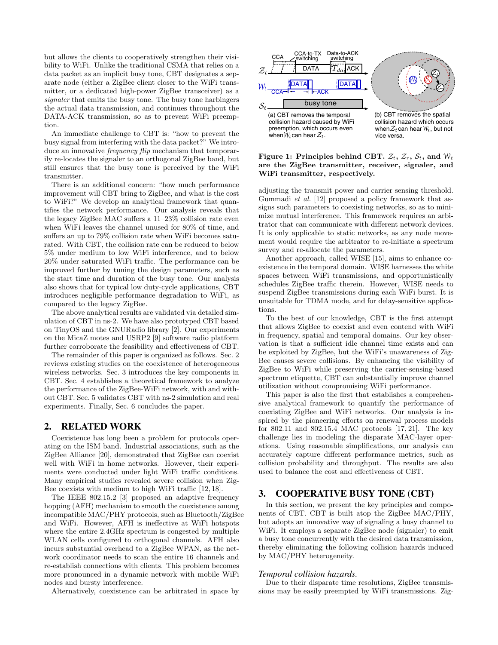but allows the clients to cooperatively strengthen their visibility to WiFi. Unlike the traditional CSMA that relies on a data packet as an implicit busy tone, CBT designates a separate node (either a ZigBee client closer to the WiFi transmitter, or a dedicated high-power ZigBee transceiver) as a signaler that emits the busy tone. The busy tone harbingers the actual data transmission, and continues throughout the DATA-ACK transmission, so as to prevent WiFi preemption.

An immediate challenge to CBT is: "how to prevent the busy signal from interfering with the data packet?" We introduce an innovative *frequency flip* mechanism that temporarily re-locates the signaler to an orthogonal ZigBee band, but still ensures that the busy tone is perceived by the WiFi transmitter.

There is an additional concern: "how much performance improvement will CBT bring to ZigBee, and what is the cost to WiFi?" We develop an analytical framework that quantifies the network performance. Our analysis reveals that the legacy ZigBee MAC suffers a 11–23% collision rate even when WiFi leaves the channel unused for 80% of time, and suffers an up to 79% collision rate when WiFi becomes saturated. With CBT, the collision rate can be reduced to below 5% under medium to low WiFi interference, and to below 20% under saturated WiFi traffic. The performance can be improved further by tuning the design parameters, such as the start time and duration of the busy tone. Our analysis also shows that for typical low duty-cycle applications, CBT introduces negligible performance degradation to WiFi, as compared to the legacy ZigBee.

The above analytical results are validated via detailed simulation of CBT in ns-2. We have also prototyped CBT based on TinyOS and the GNURadio library [2]. Our experiments on the MicaZ motes and USRP2 [9] software radio platform further corroborate the feasibility and effectiveness of CBT.

The remainder of this paper is organized as follows. Sec. 2 reviews existing studies on the coexistence of heterogeneous wireless networks. Sec. 3 introduces the key components in CBT. Sec. 4 establishes a theoretical framework to analyze the performance of the ZigBee-WiFi network, with and without CBT. Sec. 5 validates CBT with ns-2 simulation and real experiments. Finally, Sec. 6 concludes the paper.

# 2. RELATED WORK

Coexistence has long been a problem for protocols operating on the ISM band. Industrial associations, such as the ZigBee Alliance [20], demonstrated that ZigBee can coexist well with WiFi in home networks. However, their experiments were conducted under light WiFi traffic conditions. Many empirical studies revealed severe collision when Zig-Bee coexists with medium to high WiFi traffic [12, 18].

The IEEE 802.15.2 [3] proposed an adaptive frequency hopping (AFH) mechanism to smooth the coexistence among incompatible MAC/PHY protocols, such as Bluetooth/ZigBee and WiFi. However, AFH is ineffective at WiFi hotspots where the entire 2.4GHz spectrum is congested by multiple WLAN cells configured to orthogonal channels. AFH also incurs substantial overhead to a ZigBee WPAN, as the network coordinator needs to scan the entire 16 channels and re-establish connections with clients. This problem becomes more pronounced in a dynamic network with mobile WiFi nodes and bursty interference.

Alternatively, coexistence can be arbitrated in space by



Figure 1: Principles behind CBT.  $\mathcal{Z}_t$ ,  $\mathcal{Z}_r$ ,  $\mathcal{S}_t$ , and  $\mathcal{W}_t$ are the ZigBee transmitter, receiver, signaler, and WiFi transmitter, respectively.

adjusting the transmit power and carrier sensing threshold. Gummadi et al. [12] proposed a policy framework that assigns such parameters to coexisting networks, so as to minimize mutual interference. This framework requires an arbitrator that can communicate with different network devices. It is only applicable to static networks, as any node movement would require the arbitrator to re-initiate a spectrum survey and re-allocate the parameters.

Another approach, called WISE [15], aims to enhance coexistence in the temporal domain. WISE harnesses the white spaces between WiFi transmissions, and opportunistically schedules ZigBee traffic therein. However, WISE needs to suspend ZigBee transmissions during each WiFi burst. It is unsuitable for TDMA mode, and for delay-sensitive applications.

To the best of our knowledge, CBT is the first attempt that allows ZigBee to coexist and even contend with WiFi in frequency, spatial and temporal domains. Our key observation is that a sufficient idle channel time exists and can be exploited by ZigBee, but the WiFi's unawareness of Zig-Bee causes severe collisions. By enhancing the visibility of ZigBee to WiFi while preserving the carrier-sensing-based spectrum etiquette, CBT can substantially improve channel utilization without compromising WiFi performance.

This paper is also the first that establishes a comprehensive analytical framework to quantify the performance of coexisting ZigBee and WiFi networks. Our analysis is inspired by the pioneering efforts on renewal process models for 802.11 and 802.15.4 MAC protocols [17, 21]. The key challenge lies in modeling the disparate MAC-layer operations. Using reasonable simplifications, our analysis can accurately capture different performance metrics, such as collision probability and throughput. The results are also used to balance the cost and effectiveness of CBT.

# 3. COOPERATIVE BUSY TONE (CBT)

In this section, we present the key principles and components of CBT. CBT is built atop the ZigBee MAC/PHY, but adopts an innovative way of signaling a busy channel to WiFi. It employs a separate ZigBee node (signaler) to emit a busy tone concurrently with the desired data transmission, thereby eliminating the following collision hazards induced by MAC/PHY heterogeneity.

#### *Temporal collision hazards.*

Due to their disparate time resolutions, ZigBee transmissions may be easily preempted by WiFi transmissions. Zig-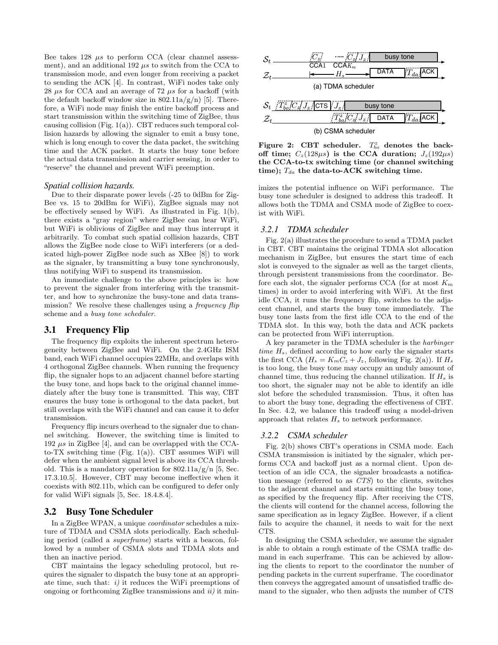Bee takes  $128 \mu s$  to perform CCA (clear channel assessment), and an additional 192  $\mu s$  to switch from the CCA to transmission mode, and even longer from receiving a packet to sending the ACK [4]. In contrast, WiFi nodes take only 28  $\mu s$  for CCA and an average of 72  $\mu s$  for a backoff (with the default backoff window size in  $802.11a/g/n$  [5]. Therefore, a WiFi node may finish the entire backoff process and start transmission within the switching time of ZigBee, thus causing collision (Fig. 1(a)). CBT reduces such temporal collision hazards by allowing the signaler to emit a busy tone, which is long enough to cover the data packet, the switching time and the ACK packet. It starts the busy tone before the actual data transmission and carrier sensing, in order to "reserve" the channel and prevent WiFi preemption.

#### *Spatial collision hazards.*

Due to their disparate power levels (-25 to 0dBm for Zig-Bee vs. 15 to 20dBm for WiFi), ZigBee signals may not be effectively sensed by WiFi. As illustrated in Fig. 1(b), there exists a "gray region" where ZigBee can hear WiFi, but WiFi is oblivious of ZigBee and may thus interrupt it arbitrarily. To combat such spatial collision hazards, CBT allows the ZigBee node close to WiFi interferers (or a dedicated high-power ZigBee node such as XBee [8]) to work as the signaler, by transmitting a busy tone synchronously, thus notifying WiFi to suspend its transmission.

An immediate challenge to the above principles is: how to prevent the signaler from interfering with the transmitter, and how to synchronize the busy-tone and data transmission? We resolve these challenges using a *frequency flip* scheme and a busy tone scheduler.

#### 3.1 Frequency Flip

The frequency flip exploits the inherent spectrum heterogeneity between ZigBee and WiFi. On the 2.4GHz ISM band, each WiFi channel occupies 22MHz, and overlaps with 4 orthogonal ZigBee channels. When running the frequency flip, the signaler hops to an adjacent channel before starting the busy tone, and hops back to the original channel immediately after the busy tone is transmitted. This way, CBT ensures the busy tone is orthogonal to the data packet, but still overlaps with the WiFi channel and can cause it to defer transmission.

Frequency flip incurs overhead to the signaler due to channel switching. However, the switching time is limited to 192  $\mu s$  in ZigBee [4], and can be overlapped with the CCAto-TX switching time  $(Fig. 1(a))$ . CBT assumes WiFi will defer when the ambient signal level is above its CCA threshold. This is a mandatory operation for  $802.11a/g/n$  [5, Sec. 17.3.10.5]. However, CBT may become ineffective when it coexists with 802.11b, which can be configured to defer only for valid WiFi signals [5, Sec. 18.4.8.4].

#### 3.2 Busy Tone Scheduler

In a ZigBee WPAN, a unique coordinator schedules a mixture of TDMA and CSMA slots periodically. Each scheduling period (called a superframe) starts with a beacon, followed by a number of CSMA slots and TDMA slots and then an inactive period.

CBT maintains the legacy scheduling protocol, but requires the signaler to dispatch the busy tone at an appropriate time, such that:  $i)$  it reduces the WiFi preemptions of ongoing or forthcoming ZigBee transmissions and  $ii$ ) it min-

| S      | $\cdots$ $\cdots$ $\cdots$ | busy tone<br>$J_Z$ .                  |  |  |  |
|--------|----------------------------|---------------------------------------|--|--|--|
|        | $CCAK_m$<br>CCA1           | <b>DATA</b><br><b>JACK</b><br>$-1 da$ |  |  |  |
|        | (a) TDMA scheduler         |                                       |  |  |  |
| $\sim$ | 100 <sub>1</sub><br>$\sim$ | $\bullet$                             |  |  |  |

|                    | $\frac{1}{2}$ / $T_{bo}^z$ / $C_z$ / $J_z$ / $C$ TS $ J_z $ |                                                   | busy tone |  |  |  |
|--------------------|-------------------------------------------------------------|---------------------------------------------------|-----------|--|--|--|
|                    |                                                             | $\sqrt{T^z_{bo}/C_z}/J_z/\sqrt{\phantom{0}}$ Data |           |  |  |  |
| (b) CSMA scheduler |                                                             |                                                   |           |  |  |  |

Figure 2: CBT scheduler.  $T_{bo}^z$  denotes the backoff time;  $C_z(128\mu s)$  is the CCA duration;  $J_z(192\mu s)$ the CCA-to-tx switching time (or channel switching time);  $T_{da}$  the data-to-ACK switching time.

imizes the potential influence on WiFi performance. The busy tone scheduler is designed to address this tradeoff. It allows both the TDMA and CSMA mode of ZigBee to coexist with WiFi.

#### *3.2.1 TDMA scheduler*

Fig. 2(a) illustrates the procedure to send a TDMA packet in CBT. CBT maintains the original TDMA slot allocation mechanism in ZigBee, but ensures the start time of each slot is conveyed to the signaler as well as the target clients, through persistent transmissions from the coordinator. Before each slot, the signaler performs CCA (for at most  $K_m$ ) times) in order to avoid interfering with WiFi. At the first idle CCA, it runs the frequency flip, switches to the adjacent channel, and starts the busy tone immediately. The busy tone lasts from the first idle CCA to the end of the TDMA slot. In this way, both the data and ACK packets can be protected from WiFi interruption.

A key parameter in the TDMA scheduler is the harbinger time  $H_s$ , defined according to how early the signaler starts the first CCA ( $H_s = K_m C_z + J_z$ , following Fig. 2(a)). If  $H_s$ is too long, the busy tone may occupy an unduly amount of channel time, thus reducing the channel utilization. If  $H_s$  is too short, the signaler may not be able to identify an idle slot before the scheduled transmission. Thus, it often has to abort the busy tone, degrading the effectiveness of CBT. In Sec. 4.2, we balance this tradeoff using a model-driven approach that relates  $H_s$  to network performance.

#### *3.2.2 CSMA scheduler*

Fig. 2(b) shows CBT's operations in CSMA mode. Each CSMA transmission is initiated by the signaler, which performs CCA and backoff just as a normal client. Upon detection of an idle CCA, the signaler broadcasts a notification message (referred to as CTS) to the clients, switches to the adjacent channel and starts emitting the busy tone, as specified by the frequency flip. After receiving the CTS, the clients will contend for the channel access, following the same specification as in legacy ZigBee. However, if a client fails to acquire the channel, it needs to wait for the next CTS.

In designing the CSMA scheduler, we assume the signaler is able to obtain a rough estimate of the CSMA traffic demand in each superframe. This can be achieved by allowing the clients to report to the coordinator the number of pending packets in the current superframe. The coordinator then conveys the aggregated amount of unsatisfied traffic demand to the signaler, who then adjusts the number of CTS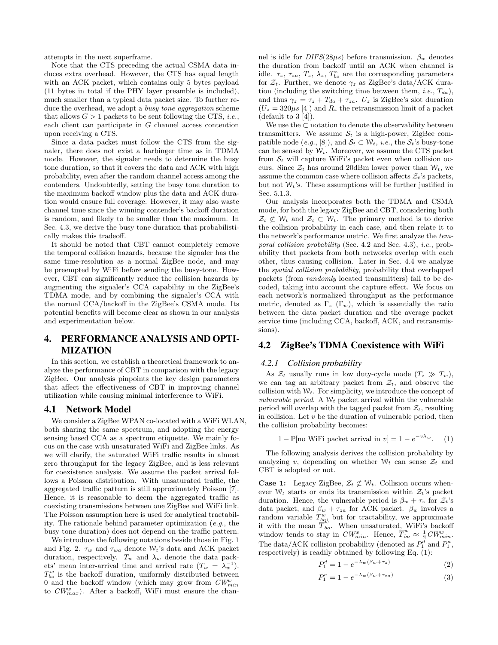attempts in the next superframe.

Note that the CTS preceding the actual CSMA data induces extra overhead. However, the CTS has equal length with an ACK packet, which contains only 5 bytes payload (11 bytes in total if the PHY layer preamble is included), much smaller than a typical data packet size. To further reduce the overhead, we adopt a *busy tone aggregation* scheme that allows  $G > 1$  packets to be sent following the CTS, *i.e.*, each client can participate in G channel access contention upon receiving a CTS.

Since a data packet must follow the CTS from the signaler, there does not exist a harbinger time as in TDMA mode. However, the signaler needs to determine the busy tone duration, so that it covers the data and ACK with high probability, even after the random channel access among the contenders. Undoubtedly, setting the busy tone duration to the maximum backoff window plus the data and ACK duration would ensure full coverage. However, it may also waste channel time since the winning contender's backoff duration is random, and likely to be smaller than the maximum. In Sec. 4.3, we derive the busy tone duration that probabilistically makes this tradeoff.

It should be noted that CBT cannot completely remove the temporal collision hazards, because the signaler has the same time-resolution as a normal ZigBee node, and may be preempted by WiFi before sending the busy-tone. However, CBT can significantly reduce the collision hazards by augmenting the signaler's CCA capability in the ZigBee's TDMA mode, and by combining the signaler's CCA with the normal CCA/backoff in the ZigBee's CSMA mode. Its potential benefits will become clear as shown in our analysis and experimentation below.

# 4. PERFORMANCE ANALYSIS AND OPTI-MIZATION

In this section, we establish a theoretical framework to analyze the performance of CBT in comparison with the legacy ZigBee. Our analysis pinpoints the key design parameters that affect the effectiveness of CBT in improving channel utilization while causing minimal interference to WiFi.

#### 4.1 Network Model

We consider a ZigBee WPAN co-located with a WiFi WLAN, both sharing the same spectrum, and adopting the energy sensing based CCA as a spectrum etiquette. We mainly focus on the case with unsaturated WiFi and ZigBee links. As we will clarify, the saturated WiFi traffic results in almost zero throughput for the legacy ZigBee, and is less relevant for coexistence analysis. We assume the packet arrival follows a Poisson distribution. With unsaturated traffic, the aggregated traffic pattern is still approximately Poisson [7]. Hence, it is reasonable to deem the aggregated traffic as coexisting transmissions between one ZigBee and WiFi link. The Poisson assumption here is used for analytical tractability. The rationale behind parameter optimization (e.g., the busy tone duration) does not depend on the traffic pattern.

We introduce the following notations beside those in Fig. 1 and Fig. 2.  $\tau_w$  and  $\tau_{wa}$  denote  $\mathcal{W}_t$ 's data and ACK packet duration, respectively.  $T_w$  and  $\lambda_w$  denote the data packets' mean inter-arrival time and arrival rate  $(T_w = \lambda_w^{-1})$ .  $T_{bo}^w$  is the backoff duration, uniformly distributed between 0 and the backoff window (which may grow from  $CW_{min}^w$ to  $CW_{max}^w$ ). After a backoff, WiFi must ensure the chan-

nel is idle for  $DIFS(28\mu s)$  before transmission.  $\beta_w$  denotes the duration from backoff until an ACK when channel is idle.  $\tau_z$ ,  $\tau_{za}$ ,  $T_z$ ,  $\lambda_z$ ,  $T_{bo}^z$  are the corresponding parameters for  $\mathcal{Z}_t$ . Further, we denote  $\gamma_z$  as ZigBee's data/ACK duration (including the switching time between them, *i.e.*,  $T_{da}$ ), and thus  $\gamma_z = \tau_z + T_{da} + \tau_{za}$ .  $U_z$  is ZigBee's slot duration  $(U_z = 320 \mu s$  [4]) and  $R_z$  the retransmission limit of a packet (default to  $3$  [4]).

We use the  $\subset$  notation to denote the observability between transmitters. We assume  $S_t$  is a high-power, ZigBee compatible node  $(e.g., [8])$ , and  $S_t \subset \mathcal{W}_t$ , *i.e.*, the  $S_t$ 's busy-tone can be sensed by  $W_t$ . Moreover, we assume the CTS packet from  $S_t$  will capture WiFi's packet even when collision occurs. Since  $\mathcal{Z}_t$  has around 20dBm lower power than  $\mathcal{W}_t$ , we assume the common case where collision affects  $\mathcal{Z}_t$ 's packets, but not  $W_t$ 's. These assumptions will be further justified in Sec. 5.1.3.

Our analysis incorporates both the TDMA and CSMA mode, for both the legacy ZigBee and CBT, considering both  $\mathcal{Z}_t \not\subset \mathcal{W}_t$  and  $\mathcal{Z}_t \subset \mathcal{W}_t$ . The primary method is to derive the collision probability in each case, and then relate it to the network's performance metric. We first analyze the temporal collision probability (Sec. 4.2 and Sec. 4.3), i.e., probability that packets from both networks overlap with each other, thus causing collision. Later in Sec. 4.4 we analyze the spatial collision probability, probability that overlapped packets (from randomly located transmitters) fail to be decoded, taking into account the capture effect. We focus on each network's normalized throughput as the performance metric, denoted as  $\Gamma_z$  ( $\Gamma_w$ ), which is essentially the ratio between the data packet duration and the average packet service time (including CCA, backoff, ACK, and retransmissions).

# 4.2 ZigBee's TDMA Coexistence with WiFi

#### *4.2.1 Collision probability*

As  $\mathcal{Z}_t$  usually runs in low duty-cycle mode  $(T_z \gg T_w)$ , we can tag an arbitrary packet from  $\mathcal{Z}_t$ , and observe the collision with  $W_t$ . For simplicity, we introduce the concept of vulnerable period. A  $W_t$  packet arrival within the vulnerable period will overlap with the tagged packet from  $\mathcal{Z}_t$ , resulting in collision. Let  $v$  be the duration of vulnerable period, then the collision probability becomes:

$$
1 - \mathbb{P}[\text{no WiFi packet arrival in } v] = 1 - e^{-v\lambda_w}.
$$
 (1)

The following analysis derives the collision probability by analyzing v, depending on whether  $W_t$  can sense  $\mathcal{Z}_t$  and CBT is adopted or not.

**Case 1:** Legacy ZigBee,  $\mathcal{Z}_t \not\subset \mathcal{W}_t$ . Collision occurs whenever  $W_t$  starts or ends its transmission within  $\mathcal{Z}_t$ 's packet duration. Hence, the vulnerable period is  $\beta_w + \tau_z$  for  $\mathcal{Z}_t$ 's data packet, and  $\beta_w + \tau_{za}$  for ACK packet.  $\beta_w$  involves a random variable  $T_{box}^w$  but for tractability, we approximate it with the mean  $\overline{T}_{bo}^{w}$ . When unsaturated, WiFi's backoff window tends to stay in  $CW_{min}^w$ . Hence,  $\overline{T}_{bo}^w \approx \frac{1}{2} CW_{min}^w$ . The data/ACK collision probability (denoted as  $P_1^d$  and  $P_1^a$ , respectively) is readily obtained by following Eq. (1):

$$
P_1^d = 1 - e^{-\lambda_w(\beta_w + \tau_z)}\tag{2}
$$

$$
P_1^a = 1 - e^{-\lambda_w(\beta_w + \tau_{za})}
$$
\n<sup>(3)</sup>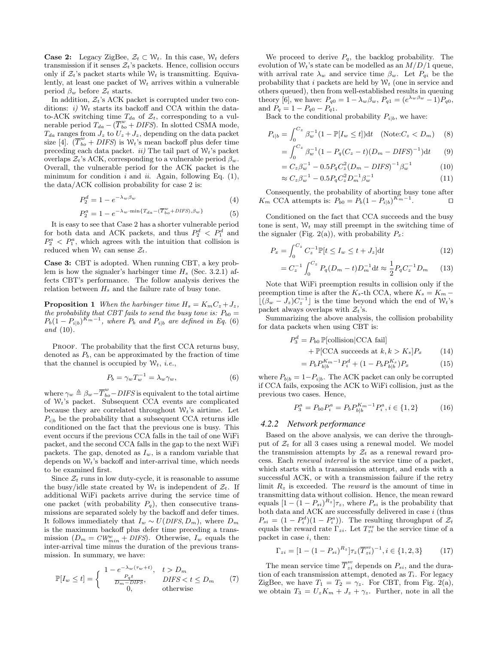**Case 2:** Legacy ZigBee,  $\mathcal{Z}_t \subset \mathcal{W}_t$ . In this case,  $\mathcal{W}_t$  defers transmission if it senses  $\mathcal{Z}_t$ 's packets. Hence, collision occurs only if  $\mathcal{Z}_t$ 's packet starts while  $\mathcal{W}_t$  is transmitting. Equivalently, at least one packet of  $W_t$  arrives within a vulnerable period  $\beta_w$  before  $\mathcal{Z}_t$  starts.

In addition,  $\mathcal{Z}_t$ 's ACK packet is corrupted under two conditions: i)  $W_t$  starts its backoff and CCA within the datato-ACK switching time  $T_{da}$  of  $\mathcal{Z}_t$ , corresponding to a vulnerable period  $T_{da} - (\overline{T}_{bo}^w + DIFS)$ . In slotted CSMA mode,  $T_{da}$  ranges from  $J_z$  to  $U_z + J_z$ , depending on the data packet size [4].  $(\overline{T}_{bo}^w + DIFS)$  is W<sub>t</sub>'s mean backoff plus defer time preceding each data packet. *ii*) The tail part of  $W_t$ 's packet overlaps  $\mathcal{Z}_t$ 's ACK, corresponding to a vulnerable period  $\beta_w$ . Overall, the vulnerable period for the ACK packet is the minimum for condition i and ii. Again, following Eq.  $(1)$ , the data/ACK collision probability for case 2 is:

$$
P_2^d = 1 - e^{-\lambda_w \beta_w} \tag{4}
$$

$$
P_2^a = 1 - e^{-\lambda_w \cdot \min\{T_{da} - (\overline{T}_{bo}^w + DIFS), \beta_w\}} \tag{5}
$$

It is easy to see that Case 2 has a shorter vulnerable period for both data and ACK packets, and thus  $P_2^d$  <  $P_1^d$  and  $P_2^a < P_1^a$ , which agrees with the intuition that collision is reduced when  $W_t$  can sense  $\mathcal{Z}_t$ .

Case 3: CBT is adopted. When running CBT, a key problem is how the signaler's harbinger time  $H_s$  (Sec. 3.2.1) affects CBT's performance. The follow analysis derives the relation between  $H_s$  and the failure rate of busy tone.

**Proposition 1** When the harbinger time  $H_s = K_m C_z + J_z$ , the probability that CBT fails to send the busy tone is:  $P_{b0} =$  $P_b(1-P_{i|b})^{K_m-1}$ , where  $P_b$  and  $P_{i|b}$  are defined in Eq. (6) and (10).

PROOF. The probability that the first CCA returns busy, denoted as  $P<sub>b</sub>$ , can be approximated by the fraction of time that the channel is occupied by  $W_t$ , *i.e.*,

$$
P_b = \gamma_w T_w^{-1} = \lambda_w \gamma_w,\tag{6}
$$

where  $\gamma_w \triangleq \beta_w - \overline{T}_{bo}^w - DIFS$  is equivalent to the total airtime of  $W_t$ 's packet. Subsequent CCA events are complicated because they are correlated throughout  $W_t$ 's airtime. Let  $P_{i|b}$  be the probability that a subsequent CCA returns idle conditioned on the fact that the previous one is busy. This event occurs if the previous CCA falls in the tail of one WiFi packet, and the second CCA falls in the gap to the next WiFi packets. The gap, denoted as  $I_w$ , is a random variable that depends on  $W_t$ 's backoff and inter-arrival time, which needs to be examined first.

Since  $\mathcal{Z}_t$  runs in low duty-cycle, it is reasonable to assume the busy/idle state created by  $W_t$  is independent of  $\mathcal{Z}_t$ . If additional WiFi packets arrive during the service time of one packet (with probability  $P_q$ ), then consecutive transmissions are separated solely by the backoff and defer times. It follows immediately that  $I_w \sim U(DIFS, D_m)$ , where  $D_m$ is the maximum backoff plus defer time preceding a transmission  $(D_m = CW_{min}^w + DIFS)$ . Otherwise,  $I_w$  equals the inter-arrival time minus the duration of the previous transmission. In summary, we have:

$$
\mathbb{P}[I_w \le t] = \begin{cases} 1 - e^{-\lambda_w(\tau_w + t)}, & t > D_m \\ \frac{P_q t}{D_m - DIFS}, & DIFS < t \le D_m \\ 0, & \text{otherwise} \end{cases} \tag{7}
$$

We proceed to derive  $P_q$ , the backlog probability. The evolution of  $W_t$ 's state can be modelled as an  $M/D/1$  queue, with arrival rate  $\lambda_w$  and service time  $\beta_w$ . Let  $P_{qi}$  be the probability that i packets are held by  $W_t$  (one in service and others queued), then from well-established results in queuing theory [6], we have:  $P_{q0} = 1 - \lambda_w \beta_w$ ,  $P_{q1} = (e^{\lambda_w \beta_w} - 1)P_{q0}$ , and  $P_q = 1 - P_{q0} - P_{q1}$ .

Back to the conditional probability  $P_{i|b}$ , we have:

$$
P_{i|b} = \int_0^{C_z} \beta_w^{-1} (1 - \mathbb{P}[I_w \le t]) dt \quad (\text{Note:} C_z < D_m) \quad (8)
$$

$$
= \int_0^{C_z} \beta_w^{-1} (1 - P_q(C_z - t)(D_m - DIFS)^{-1}) dt \qquad (9)
$$

$$
= C_z \beta_w^{-1} - 0.5 P_q C_z^2 (D_m - DIFS)^{-1} \beta_w^{-1}
$$
 (10)

$$
\approx C_z \beta_w^{-1} - 0.5 P_q C_z^2 D_m^{-1} \beta_w^{-1} \tag{11}
$$

Consequently, the probability of aborting busy tone after  $K_m$  CCA attempts is:  $P_{b0} = P_b(1 - P_{i|b})^{K_m-1}$  $\Box$ 

Conditioned on the fact that CCA succeeds and the busy tone is sent,  $W_t$  may still preempt in the switching time of the signaler (Fig. 2(a)), with probability  $P_x$ :

$$
P_x = \int_0^{C_z} C_z^{-1} \mathbb{P}[t \le I_w \le t + J_z] dt \tag{12}
$$

$$
= C_z^{-1} \int_0^{C_z} P_q(D_m - t) D_m^{-1} \mathrm{d}t \approx \frac{1}{2} P_q C_z^{-1} D_m \qquad (13)
$$

Note that WiFi preemption results in collision only if the preemption time is after the  $K_s$ -th CCA, where  $K_s = K_m \lfloor (\beta_w - J_z)C_z^{-1} \rfloor$  is the time beyond which the end of  $W_t$ 's packet always overlaps with  $\mathcal{Z}_t$ 's.

Summarizing the above analysis, the collision probability for data packets when using CBT is:

$$
P_3^d = P_{b0} \mathbb{P}[\text{collision}|\text{CCA fail}]
$$
  
+ 
$$
\mathbb{P}[\text{CCA succeeds at } k, k > K_s]P_x \qquad (14)
$$
  
= 
$$
P_b P_{b|b}^{K_m-1} P_i^d + (1 - P_b P_{b|b}^{K_s}) P_x \qquad (15)
$$

where  $P_{b|b} = 1-P_{i|b}$ . The ACK packet can only be corrupted if CCA fails, exposing the ACK to WiFi collision, just as the previous two cases. Hence,

$$
P_3^a = P_{b0} P_i^a = P_b P_{b|b}^{K_m - 1} P_i^a, i \in \{1, 2\}
$$
 (16)

#### *4.2.2 Network performance*

Based on the above analysis, we can derive the throughput of  $\mathcal{Z}_t$  for all 3 cases using a renewal model. We model the transmission attempts by  $\mathcal{Z}_t$  as a renewal reward process. Each renewal interval is the service time of a packet, which starts with a transmission attempt, and ends with a successful ACK, or with a transmission failure if the retry limit  $R_z$  is exceeded. The *reward* is the amount of time in transmitting data without collision. Hence, the mean reward equals  $[1 - (1 - P_{si})^{R_z}] \tau_z$ , where  $P_{si}$  is the probability that both data and ACK are successfully delivered in case  $i$  (thus  $P_{si} = (1 - P_i^d)(1 - P_i^a)$ . The resulting throughput of  $\mathcal{Z}_t$ equals the reward rate  $\Gamma_{zi}$ . Let  $T_{zi}^{sv}$  be the service time of a packet in case  $i$ , then:

$$
\Gamma_{zi} = [1 - (1 - P_{si})^{R_z}] \tau_z(\overline{T}_{zi}^{sv})^{-1}, i \in \{1, 2, 3\}
$$
 (17)

The mean service time  $\overline{T}_{zi}^{sv}$  depends on  $P_{si}$ , and the duration of each transmission attempt, denoted as  $T_i$ . For legacy ZigBee, we have  $T_1 = T_2 = \gamma_z$ . For CBT, from Fig. 2(a), we obtain  $T_3 = U_z K_m + J_z + \gamma_z$ . Further, note in all the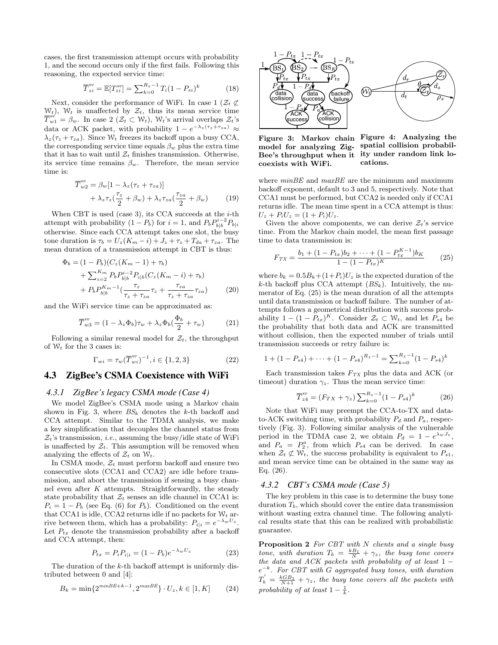cases, the first transmission attempt occurs with probability 1, and the second occurs only if the first fails. Following this reasoning, the expected service time:

$$
\overline{T}_{zi}^{sv} = \mathbb{E}[T_{zi}^{sv}] = \sum_{k=0}^{R_z - 1} T_i (1 - P_{si})^k
$$
 (18)

Next, consider the performance of WiFi. In case  $1 \; (Z_t \not\subset \mathbb{C})$  $W_t$ ),  $W_t$  is unaffected by  $\mathcal{Z}_t$ , thus its mean service time  $\overline{T}_{w1}^{s\tilde{v}'} = \beta_w$ . In case 2 ( $\mathcal{Z}_t \subset \mathcal{W}_t$ ),  $\mathcal{W}_t$ 's arrival overlaps  $\mathcal{Z}_t$ 's data or ACK packet, with probability  $1 - e^{-\lambda_z(\tau_z + \tau_{za})} \approx$  $\lambda_z(\tau_z + \tau_{za})$ . Since  $W_t$  freezes its backoff upon a busy CCA, the corresponding service time equals  $\beta_w$  plus the extra time that it has to wait until  $\mathcal{Z}_t$  finishes transmission. Otherwise, its service time remains  $\beta_w$ . Therefore, the mean service time is:

$$
\overline{T}_{w2}^{sv} = \beta_w [1 - \lambda_z (\tau_z + \tau_{za})]
$$
  
+  $\lambda_z \tau_z (\frac{\tau_z}{2} + \beta_w) + \lambda_z \tau_{za} (\frac{\tau_{za}}{2} + \beta_w)$  (19)

When CBT is used (case 3), its CCA succeeds at the  $i$ -th attempt with probability  $(1 - P_b)$  for  $i = 1$ , and  $P_b P_{b|b}^{i-2} P_{b|i}$ otherwise. Since each CCA attempt takes one slot, the busy tone duration is  $\tau_b = U_z(K_m - i) + J_z + \tau_z + T_{da} + \tau_{za}$ . The mean duration of a transmission attempt in CBT is thus:

$$
\Phi_b = (1 - P_b)(C_z(K_m - 1) + \tau_b) \n+ \sum_{i=2}^{K_m} P_b P_{b|b}^{i-2} P_{i|b} (C_z(K_m - i) + \tau_b) \n+ P_b P_{b|b}^{K_m - 1} \left( \frac{\tau_z}{\tau_z + \tau_{za}} \tau_z + \frac{\tau_{za}}{\tau_z + \tau_{za}} \tau_{za} \right)
$$
\n(20)

and the WiFi service time can be approximated as:

$$
\overline{T}_{w3}^{sv} = (1 - \lambda_z \Phi_b)\tau_w + \lambda_z \Phi_b(\frac{\Phi_b}{2} + \tau_w)
$$
 (21)

Following a similar renewal model for  $\mathcal{Z}_t$ , the throughput of  $W_t$  for the 3 cases is:

$$
\Gamma_{wi} = \tau_w(\overline{T}_{wi}^{sv})^{-1}, i \in \{1, 2, 3\}
$$
\n(22)

# 4.3 ZigBee's CSMA Coexistence with WiFi

#### *4.3.1 ZigBee's legacy CSMA mode (Case 4)*

We model ZigBee's CSMA mode using a Markov chain shown in Fig. 3, where  $BS_k$  denotes the k-th backoff and CCA attempt. Similar to the TDMA analysis, we make a key simplification that decouples the channel status from  $\mathcal{Z}_t$ 's transmission, *i.e.*, assuming the busy/idle state of WiFi is unaffected by  $\mathcal{Z}_t$ . This assumption will be removed when analyzing the effects of  $\mathcal{Z}_t$  on  $\mathcal{W}_t$ .

In CSMA mode,  $\mathcal{Z}_t$  must perform backoff and ensure two consecutive slots (CCA1 and CCA2) are idle before transmission, and abort the transmission if sensing a busy channel even after  $K$  attempts. Straightforwardly, the steady state probability that  $\mathcal{Z}_t$  senses an idle channel in CCA1 is:  $P_i = 1 - P_b$  (see Eq. (6) for  $P_b$ ). Conditioned on the event that CCA1 is idle, CCA2 returns idle if no packets for  $W_t$  arrive between them, which has a probability:  $P_{i|i} = e^{-\lambda_w U_z}$ . Let  $P_{tx}$  denote the transmission probability after a backoff and CCA attempt, then:

$$
P_{tx} = P_i P_{i|i} = (1 - P_b)e^{-\lambda_w U_z}
$$
\n(23)

The duration of the k-th backoff attempt is uniformly distributed between 0 and [4]:

$$
B_k = \min\{2^{\min BE + k - 1}, 2^{\max BE}\} \cdot U_z, k \in [1, K] \tag{24}
$$



Figure 3: Markov chain Figure 4: Analyzing the model for analyzing Zig-spatial collision probabil-Bee's throughput when it ity under random link locoexists with WiFi. cations.

where  $minBE$  and  $maxBE$  are the minimum and maximum backoff exponent, default to 3 and 5, respectively. Note that CCA1 must be performed, but CCA2 is needed only if CCA1 returns idle. The mean time spent in a CCA attempt is thus:  $U_z + P_i U_z = (1 + P_i)U_z.$ 

Given the above components, we can derive  $\mathcal{Z}_t$ 's service time. From the Markov chain model, the mean first passage time to data transmission is:

$$
F_{TX} = \frac{b_1 + (1 - P_{tx})b_2 + \dots + (1 - P_{tx}^{K-1})b_K}{1 - (1 - P_{tx})^K}
$$
(25)

where  $b_k = 0.5B_k + (1+P_i)U_z$  is the expected duration of the k-th backoff plus CCA attempt  $(BS_k)$ . Intuitively, the numerator of Eq. (25) is the mean duration of all the attempts until data transmission or backoff failure. The number of attempts follows a geometrical distribution with success probability  $1 - (1 - P_{tx})^K$ . Consider  $\mathcal{Z}_t \subset \mathcal{W}_t$ , and let  $P_{s4}$  be the probability that both data and ACK are transmitted without collision, then the expected number of trials until transmission succeeds or retry failure is:

$$
1 + (1 - P_{s4}) + \dots + (1 - P_{s4})^{R_z - 1} = \sum_{k=0}^{R_z - 1} (1 - P_{s4})^k
$$

Each transmission takes  $F_{TX}$  plus the data and ACK (or timeout) duration  $\gamma_z$ . Thus the mean service time:

$$
\overline{T}_{z4}^{sv} = (F_{TX} + \gamma_z) \sum_{k=0}^{R_z - 1} (1 - P_{s4})^k
$$
 (26)

Note that WiFi may preempt the CCA-to-TX and datato-ACK switching time, with probability  $P_d$  and  $P_a$ , respectively (Fig. 3). Following similar analysis of the vulnerable period in the TDMA case 2, we obtain  $P_d = 1 - e^{\lambda_w J_z}$ , and  $P_a = P_2^a$ , from which  $P_{s4}$  can be derived. In case when  $\mathcal{Z}_t \not\subset \mathcal{W}_t$ , the success probability is equivalent to  $P_{s_1}$ , and mean service time can be obtained in the same way as Eq. (26).

#### *4.3.2 CBT's CSMA mode (Case 5)*

The key problem in this case is to determine the busy tone duration  $T<sub>b</sub>$ , which should cover the entire data transmission without wasting extra channel time. The following analytical results state that this can be realized with probabilistic guarantee.

Proposition 2 For CBT with N clients and a single busy tone, with duration  $T_b = \frac{kB_1}{N} + \gamma_z$ , the busy tone covers the data and  $ACK$  packets with probability of at least  $1$  $e^{-k}$ . For CBT with G aggregated busy tones, with duration  $T_b' = \frac{kGB_1}{N+1} + \gamma_z$ , the busy tone covers all the packets with probability of at least  $1 - \frac{1}{k}$ .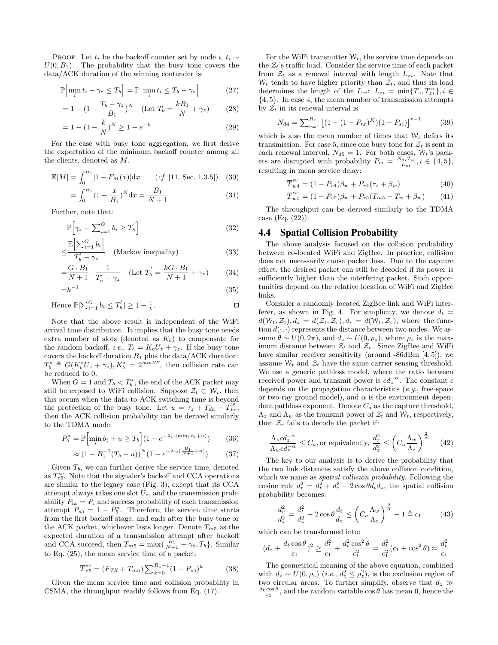PROOF. Let  $t_i$  be the backoff counter set by node  $i, t_i \sim$  $U(0, B_1)$ . The probability that the busy tone covers the data/ACK duration of the winning contender is:

$$
\mathbb{P}\Big[\min_i t_i + \gamma_z \le T_b\Big] = \mathbb{P}\Big[\min_i t_i \le T_b - \gamma_z\Big] \tag{27}
$$

$$
= 1 - (1 - \frac{T_b - \gamma_z}{B_1})^N \quad (\text{Let } T_b = \frac{k_{\text{B}_1}}{N} + \gamma_z)
$$
 (28)

$$
= 1 - (1 - \frac{k}{N})^N \ge 1 - e^{-k}
$$
 (29)

For the case with busy tone aggregation, we first derive the expectation of the minimum backoff counter among all the clients, denoted as M.

$$
\mathbb{E}[M] = \int_0^{B_1} [1 - F_M(x)] \, dx \qquad (cf. \text{ [11, Sec. 1.3.5]}) \quad (30)
$$

$$
= \int_0^{B_1} (1 - \frac{x}{B_1})^N dx = \frac{B_1}{N+1}
$$
 (31)

Further, note that:

 $=$ 

$$
\mathbb{P}\Big[\gamma_z + \sum_{i=1}^G b_i \ge T_b'\Big] \tag{32}
$$
\n
$$
\mathbb{E}\Big[\sum G - b_i\Big]
$$

$$
\leq \frac{\mathbb{E}\left[\sum_{i=1}^{G} b_i\right]}{T'_b - \gamma_z} \quad \text{(Markov inequality)}\tag{33}
$$

$$
=\frac{G \cdot B_1}{N+1} \cdot \frac{1}{T'_b - \gamma_z} \quad \text{(Let } T'_b = \frac{kG \cdot B_1}{N+1} + \gamma_z \text{)} \tag{34}
$$

$$
k^{-1} \tag{35}
$$

Hence 
$$
\mathbb{P}[\sum_{i=1}^{G} b_i \leq T'_b] \geq 1 - \frac{1}{k}.
$$

Note that the above result is independent of the WiFi arrival time distribution. It implies that the busy tone needs extra number of slots (denoted as  $K_b$ ) to compensate for the random backoff, *i.e.*,  $T_b = K_b U_z + \gamma_z$ . If the busy tone covers the backoff duration  $B_1$  plus the data/ACK duration:  $T_b^* \triangleq G(K_b^* U_z + \gamma_z), K_b^* = 2^{minBE}$ , then collision rate can be reduced to 0.

When  $G = 1$  and  $T_b < T_b^*$ , the end of the ACK packet may still be exposed to WiFi collision. Suppose  $\mathcal{Z}_t \subset \mathcal{W}_t$ , then this occurs when the data-to-ACK switching time is beyond the protection of the busy tone. Let  $u = \tau_z + T_{da} - \overline{T}_{bo}^w$ , then the ACK collision probability can be derived similarly to the TDMA mode:

$$
P_5^a = \mathbb{P}\Big[\min_i b_i + u \ge T_b\Big] (1 - e^{-\lambda_w(\min_i b_i + u)}) \tag{36}
$$

$$
\approx (1 - B_1^{-1} (T_b - u))^N (1 - e^{-\lambda_w (\frac{B_1}{N+1} + u)})
$$
 (37)

Given  $T_b$ , we can further derive the service time, denoted as  $T_{z5}^{sv}$ . Note that the signaler's backoff and CCA operations are similar to the legacy case (Fig. 3), except that its CCA attempt always takes one slot  $U_z$ , and the transmission probability  $P_{tx} = P_i$  and success probability of each transmission attempt  $P_{s5} = 1 - P_5^d$ . Therefore, the service time starts from the first backoff stage, and ends after the busy tone or the ACK packet, whichever lasts longer. Denote  $T_{m5}$  as the expected duration of a transmission attempt after backoff and CCA succeed, then  $T_{m5} = \max\{\frac{B_1}{N+1} + \gamma_z, T_b\}$ . Similar to Eq. (25), the mean service time of a packet:

$$
\overline{T}_{z5}^{sv} = (F_{TX} + T_{m5}) \sum_{k=0}^{R_z - 1} (1 - P_{s5})^k
$$
 (38)

Given the mean service time and collision probability in CSMA, the throughput readily follows from Eq. (17).

For the WiFi transmitter  $W_t$ , the service time depends on the  $\mathcal{Z}_t$ 's traffic load. Consider the service time of each packet from  $\mathcal{Z}_t$  as a renewal interval with length  $L_{zi}$ . Note that  $W_t$  tends to have higher priority than  $\mathcal{Z}_t$ , and thus its load determines the length of the  $L_{zi}: L_{zi} = \min\{T_z, T_{zi}^{sv}\}, i \in$ {4, 5}. In case 4, the mean number of transmission attempts by  $\mathcal{Z}_t$  in its renewal interval is

$$
N_{d4} = \sum_{r=1}^{R_z} \left[ (1 - (1 - P_{tx})^K)(1 - P_{si}) \right]^{r-1}
$$
 (39)

which is also the mean number of times that  $W_t$  defers its transmission. For case 5, since one busy tone for  $\mathcal{Z}_t$  is sent in each renewal interval,  $N_{d5} = 1$ . For both cases,  $W_t$ 's packets are disrupted with probability  $P_{ri} = \frac{N_{di}T_w}{L_{zi}}, i \in \{4, 5\},\$ resulting in mean service delay:

$$
\overline{T}_{w4}^{sv} = (1 - P_{r4})\beta_w + P_{r4}(\tau_z + \beta_w)
$$
\n(40)

$$
\overline{T}_{w5}^{sv} = (1 - P_{r5})\beta_w + P_{r5}(T_{m5} - T_w + \beta_w)
$$
 (41)

The throughput can be derived similarly to the TDMA case (Eq. (22)).

# 4.4 Spatial Collision Probability

The above analysis focused on the collision probability between co-located WiFi and ZigBee. In practice, collision does not necessarily cause packet loss. Due to the capture effect, the desired packet can still be decoded if its power is sufficiently higher than the interfering packet. Such opportunities depend on the relative location of WiFi and ZigBee links.

Consider a randomly located ZigBee link and WiFi interferer, as shown in Fig. 4. For simplicity, we denote  $d_t =$  $d(\mathcal{W}_t, \mathcal{Z}_t), d_z = d(\mathcal{Z}_t, \mathcal{Z}_r), d_r = d(\mathcal{W}_t, \mathcal{Z}_r)$ , where the function  $d(\cdot, \cdot)$  represents the distance between two nodes. We assume  $\theta \sim U(0, 2\pi)$ , and  $d_z \sim U(0, \rho_z)$ , where  $\rho_z$  is the maximum distance between  $\mathcal{Z}_t$  and  $\mathcal{Z}_r$ . Since ZigBee and WiFi have similar receiver sensitivity (around -86dBm [4, 5]), we assume  $W_t$  and  $Z_t$  have the same carrier sensing threshold. We use a generic pathloss model, where the ratio between received power and transmit power is  $cd_z^{-\alpha}$ . The constant c depends on the propagation characteristics (e.g., free-space or two-ray ground model), and  $\alpha$  is the environment dependent pathloss exponent. Denote  $C_a$  as the capture threshold,  $\Lambda_z$  and  $\Lambda_w$  as the transmit power of  $\mathcal{Z}_t$  and  $\mathcal{W}_t$ , respectively, then  $\mathcal{Z}_r$  fails to decode the packet if:

$$
\frac{\Lambda_z c d_z^{-\alpha}}{\Lambda_w c d_r^{-\alpha}} \le C_a, \text{or equivalently, } \frac{d_r^2}{d_z^2} \le \left(C_a \frac{\Lambda_w}{\Lambda_z}\right)^{\frac{2}{\alpha}} \tag{42}
$$

The key to our analysis is to derive the probability that the two link distances satisfy the above collision condition, which we name as *spatial collision probability*. Following the cosine rule  $d_r^2 = d_t^2 + d_z^2 - 2\cos\theta d_t d_z$ , the spatial collision probability becomes:

$$
\frac{d_r^2}{d_z^2} = \frac{d_t^2}{d_z^2} - 2\cos\theta \frac{d_t}{d_z} \le \left(C_a \frac{\Lambda_w}{\Lambda_z}\right)^{\frac{2}{\alpha}} - 1 \triangleq c_1 \tag{43}
$$

which can be transformed into:

$$
(d_z + \frac{d_t \cos \theta}{c_1})^2 \ge \frac{d_t^2}{c_1} + \frac{d_t^2 \cos^2 \theta}{c_1^2} = \frac{d_t^2}{c_1^2} (c_1 + \cos^2 \theta) \approx \frac{d_t^2}{c_1}
$$

The geometrical meaning of the above equation, combined with  $d_z \sim U(0, \rho_z)$  (*i.e.*,  $d_z^2 \leq \rho_z^2$ ), is the exclusion region of two circular areas. To further simplify, observe that  $d_z \gg$  $\frac{\cos \theta}{\cos \theta}$ , and the random variable  $\cos \theta$  has mean 0, hence the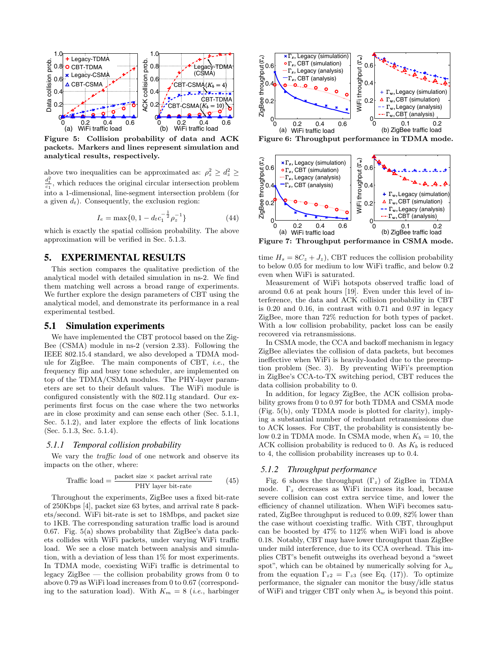

Figure 5: Collision probability of data and ACK packets. Markers and lines represent simulation and analytical results, respectively.

above two inequalities can be approximated as:  $\rho_z^2 \geq d_z^2 \geq$  $\frac{d_t^2}{d_t}$ , which reduces the original circular intersection problem into a 1-dimensional, line-segment intersection problem (for a given  $d_t$ ). Consequently, the exclusion region:

$$
I_e = \max\{0, 1 - d_t c_1^{-\frac{1}{2}} \rho_z^{-1}\}\tag{44}
$$

which is exactly the spatial collision probability. The above approximation will be verified in Sec. 5.1.3.

# 5. EXPERIMENTAL RESULTS

This section compares the qualitative prediction of the analytical model with detailed simulation in ns-2. We find them matching well across a broad range of experiments. We further explore the design parameters of CBT using the analytical model, and demonstrate its performance in a real experimental testbed.

#### 5.1 Simulation experiments

We have implemented the CBT protocol based on the Zig-Bee (CSMA) module in ns-2 (version 2.33). Following the IEEE 802.15.4 standard, we also developed a TDMA module for ZigBee. The main components of CBT, i.e., the frequency flip and busy tone scheduler, are implemented on top of the TDMA/CSMA modules. The PHY-layer parameters are set to their default values. The WiFi module is configured consistently with the 802.11g standard. Our experiments first focus on the case where the two networks are in close proximity and can sense each other (Sec. 5.1.1, Sec. 5.1.2), and later explore the effects of link locations (Sec. 5.1.3, Sec. 5.1.4).

#### *5.1.1 Temporal collision probability*

We vary the *traffic load* of one network and observe its impacts on the other, where:

$$
Traffic load = \frac{packet size \times packet arrival rate}{PHY layer bit-rate} \qquad (45)
$$

Throughout the experiments, ZigBee uses a fixed bit-rate of 250Kbps [4], packet size 63 bytes, and arrival rate 8 packets/second. WiFi bit-rate is set to 18Mbps, and packet size to 1KB. The corresponding saturation traffic load is around 0.67. Fig. 5(a) shows probability that ZigBee's data packets collides with WiFi packets, under varying WiFi traffic load. We see a close match between analysis and simulation, with a deviation of less than 1% for most experiments. In TDMA mode, coexisting WiFi traffic is detrimental to legacy ZigBee — the collision probability grows from 0 to above 0.79 as WiFi load increases from 0 to 0.67 (corresponding to the saturation load). With  $K_m = 8$  (*i.e.*, harbinger



Figure 6: Throughput performance in TDMA mode.



Figure 7: Throughput performance in CSMA mode.

time  $H_s = 8C_z + J_z$ , CBT reduces the collision probability to below 0.05 for medium to low WiFi traffic, and below 0.2 even when WiFi is saturated.

Measurement of WiFi hotspots observed traffic load of around 0.6 at peak hours [19]. Even under this level of interference, the data and ACK collision probability in CBT is 0.20 and 0.16, in contrast with 0.71 and 0.97 in legacy ZigBee, more than 72% reduction for both types of packet. With a low collision probability, packet loss can be easily recovered via retransmissions.

In CSMA mode, the CCA and backoff mechanism in legacy ZigBee alleviates the collision of data packets, but becomes ineffective when WiFi is heavily-loaded due to the preemption problem (Sec. 3). By preventing WiFi's preemption in ZigBee's CCA-to-TX switching period, CBT reduces the data collision probability to 0.

In addition, for legacy ZigBee, the ACK collision probability grows from 0 to 0.97 for both TDMA and CSMA mode (Fig. 5(b), only TDMA mode is plotted for clarity), implying a substantial number of redundant retransmissions due to ACK losses. For CBT, the probability is consistently below 0.2 in TDMA mode. In CSMA mode, when  $K_b = 10$ , the ACK collision probability is reduced to 0. As  $K_b$  is reduced to 4, the collision probability increases up to 0.4.

#### *5.1.2 Throughput performance*

Fig. 6 shows the throughput  $(\Gamma_z)$  of ZigBee in TDMA mode.  $\Gamma_z$  decreases as WiFi increases its load, because severe collision can cost extra service time, and lower the efficiency of channel utilization. When WiFi becomes saturated, ZigBee throughput is reduced to 0.09, 82% lower than the case without coexisting traffic. With CBT, throughput can be boosted by 47% to 112% when WiFi load is above 0.18. Notably, CBT may have lower throughput than ZigBee under mild interference, due to its CCA overhead. This implies CBT's benefit outweighs its overhead beyond a "sweet spot", which can be obtained by numerically solving for  $\lambda_w$ from the equation  $\Gamma_{z2} = \Gamma_{z3}$  (see Eq. (17)). To optimize performance, the signaler can monitor the busy/idle status of WiFi and trigger CBT only when  $\lambda_w$  is beyond this point.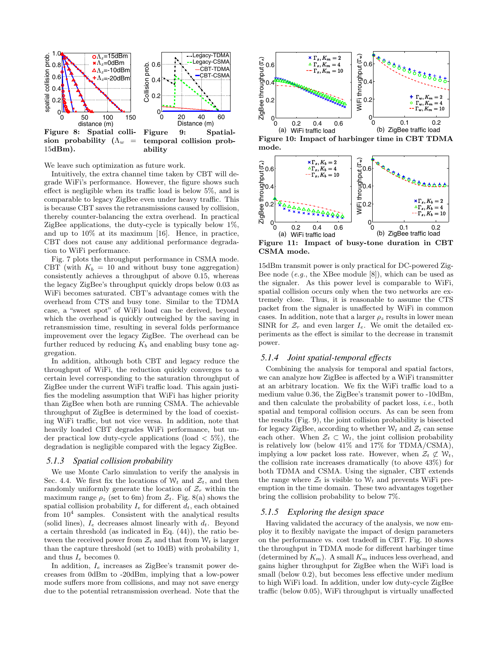

We leave such optimization as future work.

Intuitively, the extra channel time taken by CBT will degrade WiFi's performance. However, the figure shows such effect is negligible when its traffic load is below 5%, and is comparable to legacy ZigBee even under heavy traffic. This is because CBT saves the retransmissions caused by collision, thereby counter-balancing the extra overhead. In practical ZigBee applications, the duty-cycle is typically below 1%, and up to 10% at its maximum [16]. Hence, in practice, CBT does not cause any additional performance degradation to WiFi performance.

Fig. 7 plots the throughput performance in CSMA mode. CBT (with  $K_b = 10$  and without busy tone aggregation) consistently achieves a throughput of above 0.15, whereas the legacy ZigBee's throughput quickly drops below 0.03 as WiFi becomes saturated. CBT's advantage comes with the overhead from CTS and busy tone. Similar to the TDMA case, a "sweet spot" of WiFi load can be derived, beyond which the overhead is quickly outweighed by the saving in retransmission time, resulting in several folds performance improvement over the legacy ZigBee. The overhead can be further reduced by reducing  $K_b$  and enabling busy tone aggregation.

In addition, although both CBT and legacy reduce the throughput of WiFi, the reduction quickly converges to a certain level corresponding to the saturation throughput of ZigBee under the current WiFi traffic load. This again justifies the modeling assumption that WiFi has higher priority than ZigBee when both are running CSMA. The achievable throughput of ZigBee is determined by the load of coexisting WiFi traffic, but not vice versa. In addition, note that heavily loaded CBT degrades WiFi performance, but under practical low duty-cycle applications (load  $\langle 5\% \rangle$ , the degradation is negligible compared with the legacy ZigBee.

#### *5.1.3 Spatial collision probability*

We use Monte Carlo simulation to verify the analysis in Sec. 4.4. We first fix the locations of  $W_t$  and  $\mathcal{Z}_t$ , and then randomly uniformly generate the location of  $\mathcal{Z}_r$  within the maximum range  $\rho_z$  (set to 6m) from  $\mathcal{Z}_t$ . Fig. 8(a) shows the spatial collision probability  $I_e$  for different  $d_t$ , each obtained from  $10^4$  samples. Consistent with the analytical results (solid lines),  $I_e$  decreases almost linearly with  $d_t$ . Beyond a certain threshold (as indicated in Eq. (44)), the ratio between the received power from  $\mathcal{Z}_t$  and that from  $\mathcal{W}_t$  is larger than the capture threshold (set to 10dB) with probability 1, and thus  $I_e$  becomes 0.

In addition,  $I_e$  increases as ZigBee's transmit power decreases from 0dBm to -20dBm, implying that a low-power mode suffers more from collisions, and may not save energy due to the potential retransmission overhead. Note that the



Figure 10: Impact of harbinger time in CBT TDMA mode.



Figure 11: Impact of busy-tone duration in CBT CSMA mode.

15dBm transmit power is only practical for DC-powered Zig-Bee node  $(e.g.,\,the\,XBee\,module\, [8]),\,which\, can\, be\, used\, as$ the signaler. As this power level is comparable to WiFi, spatial collision occurs only when the two networks are extremely close. Thus, it is reasonable to assume the CTS packet from the signaler is unaffected by WiFi in common cases. In addition, note that a larger  $\rho_z$  results in lower mean SINR for  $\mathcal{Z}_r$  and even larger  $I_e$ . We omit the detailed experiments as the effect is similar to the decrease in transmit power.

# *5.1.4 Joint spatial-temporal effects*

Combining the analysis for temporal and spatial factors, we can analyze how ZigBee is affected by a WiFi transmitter at an arbitrary location. We fix the WiFi traffic load to a medium value 0.36, the ZigBee's transmit power to -10dBm, and then calculate the probability of packet loss, i.e., both spatial and temporal collision occurs. As can be seen from the results (Fig. 9), the joint collision probability is bisected for legacy ZigBee, according to whether  $W_t$  and  $Z_t$  can sense each other. When  $\mathcal{Z}_t \subset \mathcal{W}_t$ , the joint collision probability is relatively low (below 41% and 17% for TDMA/CSMA), implying a low packet loss rate. However, when  $\mathcal{Z}_t \not\subset \mathcal{W}_t$ , the collision rate increases dramatically (to above 43%) for both TDMA and CSMA. Using the signaler, CBT extends the range where  $\mathcal{Z}_t$  is visible to  $\mathcal{W}_t$  and prevents WiFi preemption in the time domain. These two advantages together bring the collision probability to below 7%.

#### *5.1.5 Exploring the design space*

Having validated the accuracy of the analysis, we now employ it to flexibly navigate the impact of design parameters on the performance vs. cost tradeoff in CBT. Fig. 10 shows the throughput in TDMA mode for different harbinger time (determined by  $K_m$ ). A small  $K_m$  induces less overhead, and gains higher throughput for ZigBee when the WiFi load is small (below 0.2), but becomes less effective under medium to high WiFi load. In addition, under low duty-cycle ZigBee traffic (below 0.05), WiFi throughput is virtually unaffected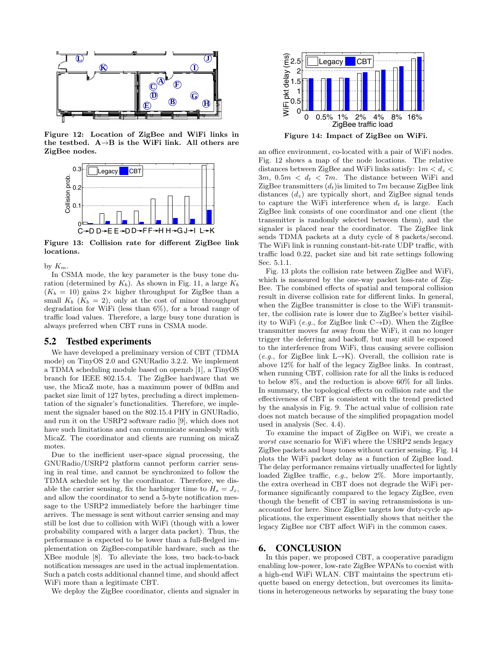

Figure 12: Location of ZigBee and WiFi links in the testbed. A→B is the WiFi link. All others are ZigBee nodes.



Figure 13: Collision rate for different ZigBee link locations.

by  $K_m$ .

In CSMA mode, the key parameter is the busy tone du-<br>tion (determined by  $K_b$ ). As shown in Fig. 11, a large  $K_b$ ration (determined by  $K_b$ ). As shown in Fig. 11, a large  $K_b$  $(K_b = 10)$  gains  $2 \times$  higher throughput for ZigBee than a small  $K_b$   $(K_b = 2)$ , only at the cost of minor throughput degradation for WiFi (less than 6%), for a broad range of traffic load values. Therefore, a large busy tone duration is always preferred when CBT runs in CSMA mode.

#### 5.2 Testbed experiments

We have developed a preliminary version of CBT (TDMA mode) on TinyOS 2.0 and GNURadio 3.2.2. We implement a TDMA scheduling module based on openzb [1], a TinyOS branch for IEEE 802.15.4. The ZigBee hardware that we use, the MicaZ mote, has a maximum power of 0dBm and packet size limit of 127 bytes, precluding a direct implementation of the signaler's functionalities. Therefore, we implement the signaler based on the 802.15.4 PHY in GNURadio, and run it on the USRP2 software radio [9], which does not have such limitations and can communicate seamlessly with MicaZ. The coordinator and clients are running on micaZ motes.

Due to the inefficient user-space signal processing, the GNURadio/USRP2 platform cannot perform carrier sensing in real time, and cannot be synchronized to follow the TDMA schedule set by the coordinator. Therefore, we disable the carrier sensing, fix the harbinger time to  $H_s = J_z$ , and allow the coordinator to send a 5-byte notification message to the USRP2 immediately before the harbinger time arrives. The message is sent without carrier sensing and may still be lost due to collision with WiFi (though with a lower probability compared with a larger data packet). Thus, the performance is expected to be lower than a full-fledged implementation on ZigBee-compatible hardware, such as the XBee module [8]. To alleviate the loss, two back-to-back notification messages are used in the actual implementation. Such a patch costs additional channel time, and should affect WiFi more than a legitimate CBT.

We deploy the ZigBee coordinator, clients and signaler in



Figure 14: Impact of ZigBee on WiFi.

an office environment, co-located with a pair of WiFi nodes. Fig. 12 shows a map of the node locations. The relative distances between ZigBee and WiFi links satisfy:  $1m < d_z <$  $3m$ ,  $0.5m < d_t < 7m$ . The distance between WiFi and ZigBee transmitters  $(d_t)$  is limited to 7m because ZigBee link distances  $(d_z)$  are typically short, and ZigBee signal tends to capture the WiFi interference when  $d_t$  is large. Each ZigBee link consists of one coordinator and one client (the transmitter is randomly selected between them), and the signaler is placed near the coordinator. The ZigBee link sends TDMA packets at a duty cycle of 8 packets/second. The WiFi link is running constant-bit-rate UDP traffic, with traffic load 0.22, packet size and bit rate settings following Sec. 5.1.1.

Fig. 13 plots the collision rate between ZigBee and WiFi, which is measured by the one-way packet loss-rate of Zig-Bee. The combined effects of spatial and temporal collision result in diverse collision rate for different links. In general, when the ZigBee transmitter is close to the WiFi transmitter, the collision rate is lower due to ZigBee's better visibility to WiFi (e.g., for ZigBee link  $C\rightarrow D$ ). When the ZigBee transmitter moves far away from the WiFi, it can no longer trigger the deferring and backoff, but may still be exposed to the interference from WiFi, thus causing severe collision  $(e.g., for ZipBee link L\rightarrow K)$ . Overall, the collision rate is above 12% for half of the legacy ZigBee links. In contrast, when running CBT, collision rate for all the links is reduced to below 8%, and the reduction is above 60% for all links. In summary, the topological effects on collision rate and the effectiveness of CBT is consistent with the trend predicted by the analysis in Fig. 9. The actual value of collision rate does not match because of the simplified propagation model used in analysis (Sec. 4.4).

To examine the impact of ZigBee on WiFi, we create a worst case scenario for WiFi where the USRP2 sends legacy ZigBee packets and busy tones without carrier sensing. Fig. 14 plots the WiFi packet delay as a function of ZigBee load. The delay performance remains virtually unaffected for lightly loaded ZigBee traffic, e.g., below 2%. More importantly, the extra overhead in CBT does not degrade the WiFi performance significantly compared to the legacy ZigBee, even though the benefit of CBT in saving retransmissions is unaccounted for here. Since ZigBee targets low duty-cycle applications, the experiment essentially shows that neither the legacy ZigBee nor CBT affect WiFi in the common cases.

# 6. CONCLUSION

In this paper, we proposed CBT, a cooperative paradigm enabling low-power, low-rate ZigBee WPANs to coexist with a high-end WiFi WLAN. CBT maintains the spectrum etiquette based on energy detection, but overcomes its limitations in heterogeneous networks by separating the busy tone